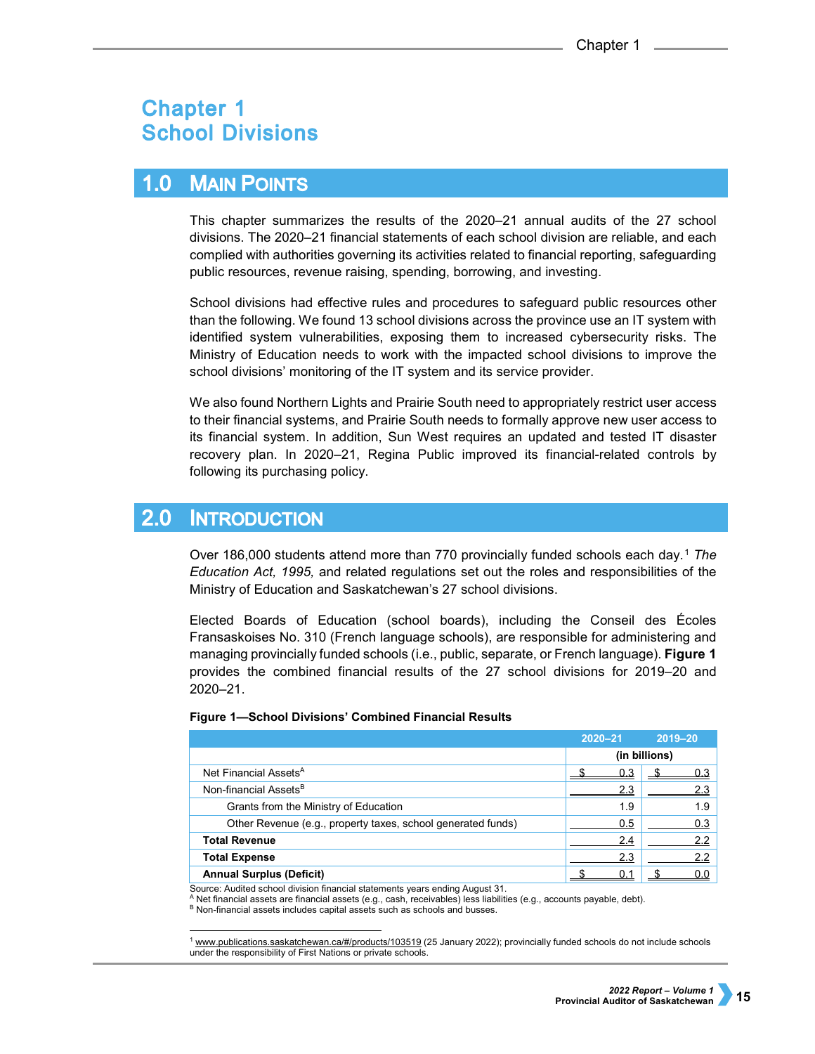# **Chapter 1 School Divisions**

### **MAIN POINTS**  $1.0$

This chapter summarizes the results of the 2020–21 annual audits of the 27 school divisions. The 2020–21 financial statements of each school division are reliable, and each complied with authorities governing its activities related to financial reporting, safeguarding public resources, revenue raising, spending, borrowing, and investing.

School divisions had effective rules and procedures to safeguard public resources other than the following. We found 13 school divisions across the province use an IT system with identified system vulnerabilities, exposing them to increased cybersecurity risks. The Ministry of Education needs to work with the impacted school divisions to improve the school divisions' monitoring of the IT system and its service provider.

We also found Northern Lights and Prairie South need to appropriately restrict user access to their financial systems, and Prairie South needs to formally approve new user access to its financial system. In addition, Sun West requires an updated and tested IT disaster recovery plan. In 2020–21, Regina Public improved its financial-related controls by following its purchasing policy.

## 2.0 **INTRODUCTION**

Over 186,000 students attend more than 770 provincially funded schools each day.[1](#page-0-0) *The Education Act, 1995,* and related regulations set out the roles and responsibilities of the Ministry of Education and Saskatchewan's 27 school divisions.

Elected Boards of Education (school boards), including the Conseil des Écoles Fransaskoises No. 310 (French language schools), are responsible for administering and managing provincially funded schools (i.e., public, separate, or French language). **Figure 1** provides the combined financial results of the 27 school divisions for 2019–20 and 2020–21.

|                                                              | $2020 - 21$   | 2019-20 |
|--------------------------------------------------------------|---------------|---------|
|                                                              | (in billions) |         |
| Net Financial Assets <sup>A</sup>                            | 0.3           | 0.3     |
| Non-financial Assets <sup>B</sup>                            | 2.3           |         |
| Grants from the Ministry of Education                        | 1.9           | 1.9     |
| Other Revenue (e.g., property taxes, school generated funds) | 0.5           | 0.3     |
| <b>Total Revenue</b>                                         | 2.4           | 2.2     |
| <b>Total Expense</b>                                         | 2.3           | 2.2     |
| <b>Annual Surplus (Deficit)</b>                              |               | 0.0     |

# **Figure 1—School Divisions' Combined Financial Results**

Source: Audited school division financial statements years ending August 31.

<sup>A</sup> Net financial assets are financial assets (e.g., cash, receivables) less liabilities (e.g., accounts payable, debt).

B Non-financial assets includes capital assets such as schools and busses.

<span id="page-0-0"></span> <sup>1</sup> [www.publications.saskatchewan.ca/#/products/103519](https://publications.saskatchewan.ca/#/products/103519) (25 January 2022); provincially funded schools do not include schools under the responsibility of First Nations or private schools.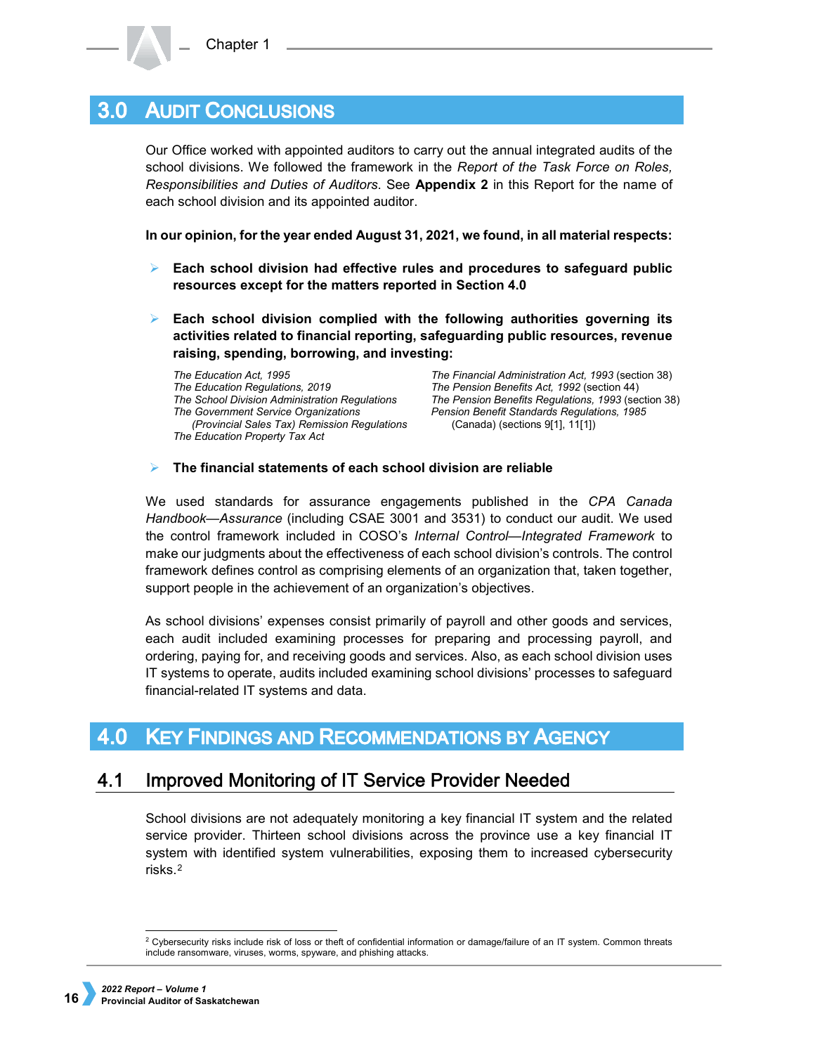#### **AUDIT CONCLUSIONS**  $3.0<sub>1</sub>$

Our Office worked with appointed auditors to carry out the annual integrated audits of the school divisions. We followed the framework in the *Report of the Task Force on Roles, Responsibilities and Duties of Auditors*. See **Appendix 2** in this Report for the name of each school division and its appointed auditor.

**In our opinion, for the year ended August 31, 2021, we found, in all material respects:**

- **Each school division had effective rules and procedures to safeguard public resources except for the matters reported in Section 4.0**
- **Each school division complied with the following authorities governing its activities related to financial reporting, safeguarding public resources, revenue raising, spending, borrowing, and investing:**

*The Education Act, 1995 The Education Regulations, 2019 The School Division Administration Regulations The Government Service Organizations (Provincial Sales Tax) Remission Regulations The Education Property Tax Act*

*The Financial Administration Act, 1993* (section 38) *The Pension Benefits Act, 1992* (section 44) *The Pension Benefits Regulations, 1993* (section 38) *Pension Benefit Standards Regulations, 1985*  (Canada) (sections 9[1], 11[1])

# **The financial statements of each school division are reliable**

We used standards for assurance engagements published in the *CPA Canada Handbook—Assurance* (including CSAE 3001 and 3531) to conduct our audit. We used the control framework included in COSO's *Internal Control—Integrated Framework* to make our judgments about the effectiveness of each school division's controls. The control framework defines control as comprising elements of an organization that, taken together, support people in the achievement of an organization's objectives.

As school divisions' expenses consist primarily of payroll and other goods and services, each audit included examining processes for preparing and processing payroll, and ordering, paying for, and receiving goods and services. Also, as each school division uses IT systems to operate, audits included examining school divisions' processes to safeguard financial-related IT systems and data.

#### **KEY FINDINGS AND RECOMMENDATIONS BY AGENCY**  $4.0$

#### $4.1$ **Improved Monitoring of IT Service Provider Needed**

School divisions are not adequately monitoring a key financial IT system and the related service provider. Thirteen school divisions across the province use a key financial IT system with identified system vulnerabilities, exposing them to increased cybersecurity risks.[2](#page-1-0)

<span id="page-1-0"></span><sup>&</sup>lt;sup>2</sup> Cybersecurity risks include risk of loss or theft of confidential information or damage/failure of an IT system. Common threats include ransomware, viruses, worms, spyware, and phishing attacks.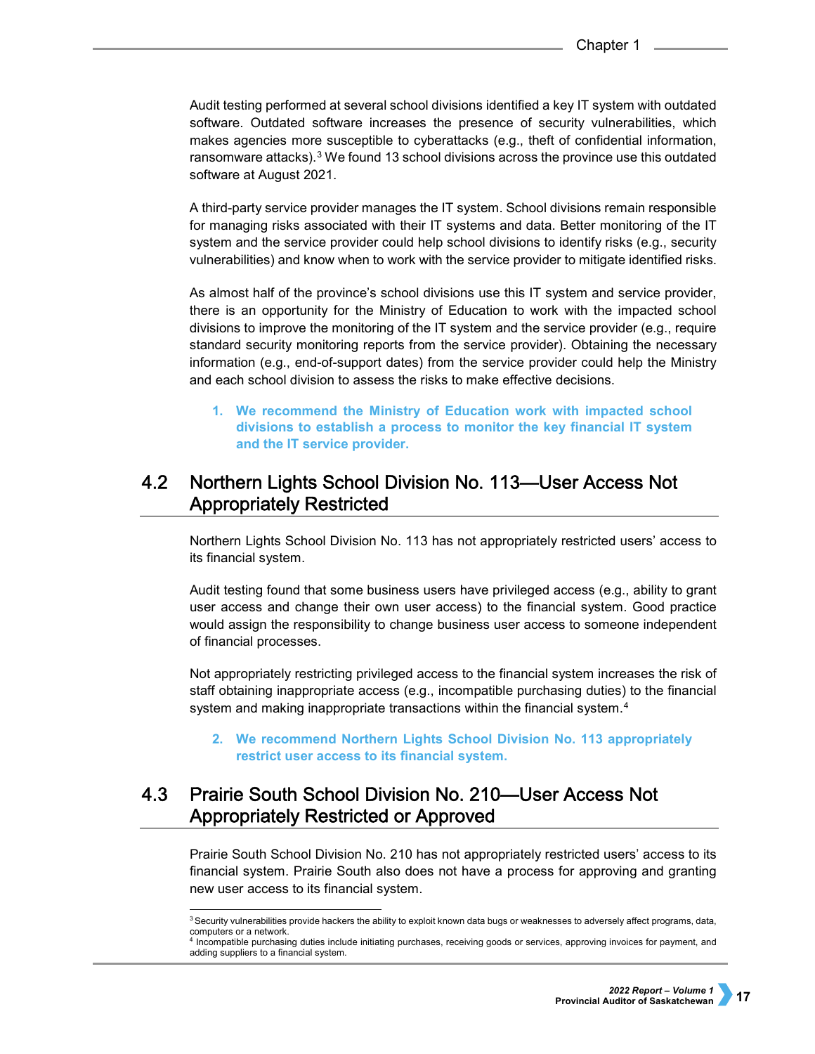Audit testing performed at several school divisions identified a key IT system with outdated software. Outdated software increases the presence of security vulnerabilities, which makes agencies more susceptible to cyberattacks (e.g., theft of confidential information, ransomware attacks).<sup>[3](#page-2-0)</sup> We found 13 school divisions across the province use this outdated software at August 2021.

A third-party service provider manages the IT system. School divisions remain responsible for managing risks associated with their IT systems and data. Better monitoring of the IT system and the service provider could help school divisions to identify risks (e.g., security vulnerabilities) and know when to work with the service provider to mitigate identified risks.

As almost half of the province's school divisions use this IT system and service provider, there is an opportunity for the Ministry of Education to work with the impacted school divisions to improve the monitoring of the IT system and the service provider (e.g., require standard security monitoring reports from the service provider). Obtaining the necessary information (e.g., end-of-support dates) from the service provider could help the Ministry and each school division to assess the risks to make effective decisions.

**1. We recommend the Ministry of Education work with impacted school divisions to establish a process to monitor the key financial IT system and the IT service provider.**

## 4.2 Northern Lights School Division No. 113—User Access Not **Appropriately Restricted**

Northern Lights School Division No. 113 has not appropriately restricted users' access to its financial system.

Audit testing found that some business users have privileged access (e.g., ability to grant user access and change their own user access) to the financial system. Good practice would assign the responsibility to change business user access to someone independent of financial processes.

Not appropriately restricting privileged access to the financial system increases the risk of staff obtaining inappropriate access (e.g., incompatible purchasing duties) to the financial system and making inappropriate transactions within the financial system.<sup>[4](#page-2-1)</sup>

**2. We recommend Northern Lights School Division No. 113 appropriately restrict user access to its financial system.**

## $4.3$ **Prairie South School Division No. 210-User Access Not Appropriately Restricted or Approved**

Prairie South School Division No. 210 has not appropriately restricted users' access to its financial system. Prairie South also does not have a process for approving and granting new user access to its financial system.

<sup>&</sup>lt;sup>3</sup> Security vulnerabilities provide hackers the ability to exploit known data bugs or weaknesses to adversely affect programs, data, computers or a network.

<span id="page-2-1"></span><span id="page-2-0"></span><sup>4</sup> Incompatible purchasing duties include initiating purchases, receiving goods or services, approving invoices for payment, and adding suppliers to a financial system.